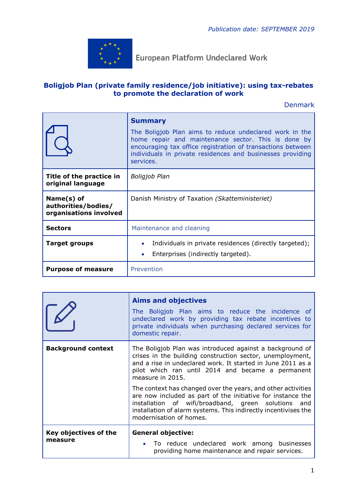

**European Platform Undeclared Work** 

## **Boligjob Plan (private family residence/job initiative): using tax-rebates to promote the declaration of work**

Denmark

|                                                             | <b>Summary</b><br>The Boligjob Plan aims to reduce undeclared work in the<br>home repair and maintenance sector. This is done by<br>encouraging tax office registration of transactions between<br>individuals in private residences and businesses providing<br>services. |
|-------------------------------------------------------------|----------------------------------------------------------------------------------------------------------------------------------------------------------------------------------------------------------------------------------------------------------------------------|
| Title of the practice in<br>original language               | <b>Boligjob Plan</b>                                                                                                                                                                                                                                                       |
| Name(s) of<br>authorities/bodies/<br>organisations involved | Danish Ministry of Taxation (Skatteministeriet)                                                                                                                                                                                                                            |
| <b>Sectors</b>                                              | Maintenance and cleaning                                                                                                                                                                                                                                                   |
| <b>Target groups</b>                                        | Individuals in private residences (directly targeted);<br>Enterprises (indirectly targeted).<br>$\bullet$                                                                                                                                                                  |
| <b>Purpose of measure</b>                                   | Prevention                                                                                                                                                                                                                                                                 |

|                                  | <b>Aims and objectives</b><br>The Boligjob Plan aims to reduce the incidence of<br>undeclared work by providing tax rebate incentives to<br>private individuals when purchasing declared services for<br>domestic repair.                                                        |
|----------------------------------|----------------------------------------------------------------------------------------------------------------------------------------------------------------------------------------------------------------------------------------------------------------------------------|
| <b>Background context</b>        | The Boligjob Plan was introduced against a background of<br>crises in the building construction sector, unemployment,<br>and a rise in undeclared work. It started in June 2011 as a<br>pilot which ran until 2014 and became a permanent<br>measure in 2015.                    |
|                                  | The context has changed over the years, and other activities<br>are now included as part of the initiative for instance the<br>installation of wifi/broadband, green solutions and<br>installation of alarm systems. This indirectly incentivises the<br>modernisation of homes. |
| Key objectives of the<br>measure | <b>General objective:</b><br>• To reduce undeclared work among businesses<br>providing home maintenance and repair services.                                                                                                                                                     |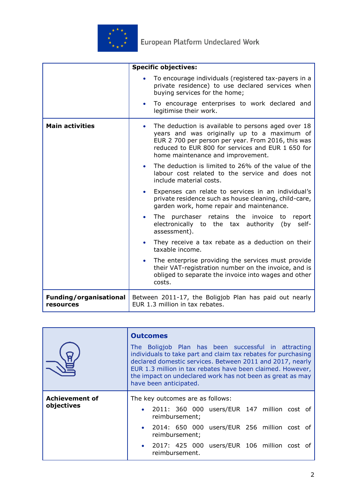

|                                            | <b>Specific objectives:</b>                                                                                                                                                                                                                       |
|--------------------------------------------|---------------------------------------------------------------------------------------------------------------------------------------------------------------------------------------------------------------------------------------------------|
|                                            | To encourage individuals (registered tax-payers in a<br>private residence) to use declared services when<br>buying services for the home;                                                                                                         |
|                                            | To encourage enterprises to work declared and<br>$\bullet$<br>legitimise their work.                                                                                                                                                              |
| <b>Main activities</b>                     | The deduction is available to persons aged over 18<br>years and was originally up to a maximum of<br>EUR 2 700 per person per year. From 2016, this was<br>reduced to EUR 800 for services and EUR 1 650 for<br>home maintenance and improvement. |
|                                            | The deduction is limited to 26% of the value of the<br>labour cost related to the service and does not<br>include material costs.                                                                                                                 |
|                                            | Expenses can relate to services in an individual's<br>$\bullet$<br>private residence such as house cleaning, child-care,<br>garden work, home repair and maintenance.                                                                             |
|                                            | The purchaser retains the invoice to<br>report<br>$\bullet$<br>electronically to the tax authority (by self-<br>assessment).                                                                                                                      |
|                                            | They receive a tax rebate as a deduction on their<br>$\bullet$<br>taxable income.                                                                                                                                                                 |
|                                            | The enterprise providing the services must provide<br>$\bullet$<br>their VAT-registration number on the invoice, and is<br>obliged to separate the invoice into wages and other<br>costs.                                                         |
| <b>Funding/organisational</b><br>resources | Between 2011-17, the Boligjob Plan has paid out nearly<br>EUR 1.3 million in tax rebates.                                                                                                                                                         |

|                                     | <b>Outcomes</b><br>The Boligjob Plan has been successful in attracting<br>individuals to take part and claim tax rebates for purchasing<br>declared domestic services. Between 2011 and 2017, nearly<br>EUR 1.3 million in tax rebates have been claimed. However,<br>the impact on undeclared work has not been as great as may<br>have been anticipated. |
|-------------------------------------|------------------------------------------------------------------------------------------------------------------------------------------------------------------------------------------------------------------------------------------------------------------------------------------------------------------------------------------------------------|
| <b>Achievement of</b><br>objectives | The key outcomes are as follows:<br>· 2011: 360 000 users/EUR 147 million cost of<br>reimbursement;<br>· 2014: 650 000 users/EUR 256 million cost of<br>reimbursement;<br>• 2017: 425 000 users/EUR 106 million cost of<br>reimbursement.                                                                                                                  |